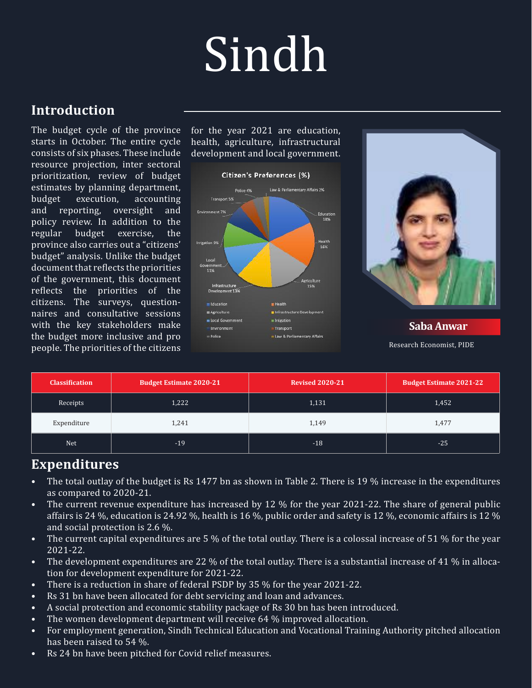# Sindh

## **Introduction**

The budget cycle of the province starts in October. The entire cycle consists of six phases. These include resource projection, inter sectoral prioritization, review of budget estimates by planning department, budget execution, accounting and reporting, oversight and policy review. In addition to the regular budget exercise, the province also carries out a "citizens' budget" analysis. Unlike the budget document that reflects the priorities of the government, this document reflects the priorities of the citizens. The surveys, questionnaires and consultative sessions with the key stakeholders make the budget more inclusive and pro people. The priorities of the citizens

for the year 2021 are education, health, agriculture, infrastructural development and local government.





Research Economist, PIDE **Saba Anwar**

| <b>Classification</b> | <b>Budget Estimate 2020-21</b> | <b>Revised 2020-21</b> | <b>Budget Estimate 2021-22</b> |  |
|-----------------------|--------------------------------|------------------------|--------------------------------|--|
| Receipts              | 1,222                          | 1,131                  | 1,452                          |  |
| Expenditure           | 1,241                          | 1,149                  | 1,477                          |  |
| Net                   | $-19$                          | $-18$                  | $-25$                          |  |

### **Expenditures**

- The total outlay of the budget is Rs 1477 bn as shown in Table 2. There is 19 % increase in the expenditures as compared to 2020-21.
- The current revenue expenditure has increased by 12 % for the year 2021-22. The share of general public affairs is 24 %, education is 24.92 %, health is 16 %, public order and safety is 12 %, economic affairs is 12 % and social protection is 2.6 %.
- The current capital expenditures are 5 % of the total outlay. There is a colossal increase of 51 % for the year 2021-22.
- The development expenditures are 22 % of the total outlay. There is a substantial increase of 41 % in allocation for development expenditure for 2021-22.
- There is a reduction in share of federal PSDP by 35 % for the year 2021-22.
- Rs 31 bn have been allocated for debt servicing and loan and advances.
- A social protection and economic stability package of Rs 30 bn has been introduced.
- The women development department will receive 64 % improved allocation.
- For employment generation, Sindh Technical Education and Vocational Training Authority pitched allocation has been raised to 54 %.
- Rs 24 bn have been pitched for Covid relief measures.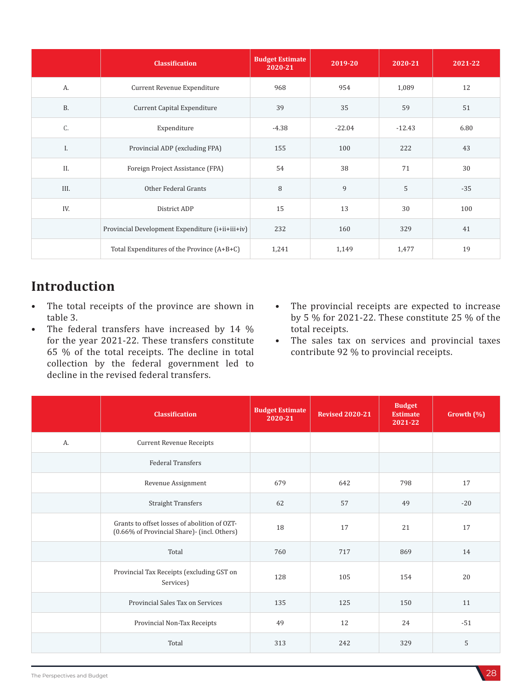|           | <b>Classification</b>                            | <b>Budget Estimate</b><br>2020-21 | 2019-20  | 2020-21  | 2021-22 |
|-----------|--------------------------------------------------|-----------------------------------|----------|----------|---------|
| A.        | Current Revenue Expenditure                      | 968                               | 954      | 1,089    | 12      |
| <b>B.</b> | Current Capital Expenditure                      | 39                                | 35       | 59       | 51      |
| C.        | Expenditure                                      | $-4.38$                           | $-22.04$ | $-12.43$ | 6.80    |
| I.        | Provincial ADP (excluding FPA)                   | 155                               | 100      | 222      | 43      |
| II.       | Foreign Project Assistance (FPA)                 | 54                                | 38       | 71       | 30      |
| III.      | Other Federal Grants                             | 8                                 | 9        | 5        | $-35$   |
| IV.       | District ADP                                     | 15                                | 13       | 30       | 100     |
|           | Provincial Development Expenditure (i+ii+iii+iv) | 232                               | 160      | 329      | 41      |
|           | Total Expenditures of the Province (A+B+C)       | 1,241                             | 1,149    | 1,477    | 19      |

# **Introduction**

- The total receipts of the province are shown in table 3.
- The federal transfers have increased by 14 % for the year 2021-22. These transfers constitute 65 % of the total receipts. The decline in total collection by the federal government led to decline in the revised federal transfers.
- The provincial receipts are expected to increase by 5 % for 2021-22. These constitute 25 % of the total receipts.
- The sales tax on services and provincial taxes contribute 92 % to provincial receipts.

|    | <b>Classification</b>                                                                       | <b>Budget Estimate</b><br>2020-21 | <b>Revised 2020-21</b> |     | Growth (%) |
|----|---------------------------------------------------------------------------------------------|-----------------------------------|------------------------|-----|------------|
| А. | Current Revenue Receipts                                                                    |                                   |                        |     |            |
|    | <b>Federal Transfers</b>                                                                    |                                   |                        |     |            |
|    | Revenue Assignment                                                                          | 679                               | 642                    | 798 | 17         |
|    | <b>Straight Transfers</b>                                                                   | 62                                | 57                     | 49  | $-20$      |
|    | Grants to offset losses of abolition of OZT-<br>(0.66% of Provincial Share)- (incl. Others) | 18                                | 17                     | 21  | 17         |
|    | Total                                                                                       | 760                               | 717                    | 869 | 14         |
|    | Provincial Tax Receipts (excluding GST on<br>Services)                                      | 128                               | 105                    | 154 | 20         |
|    | Provincial Sales Tax on Services                                                            | 135                               | 125                    | 150 | 11         |
|    | Provincial Non-Tax Receipts                                                                 | 49                                | 12                     | 24  | $-51$      |
|    | Total                                                                                       | 313                               | 242                    | 329 | 5          |